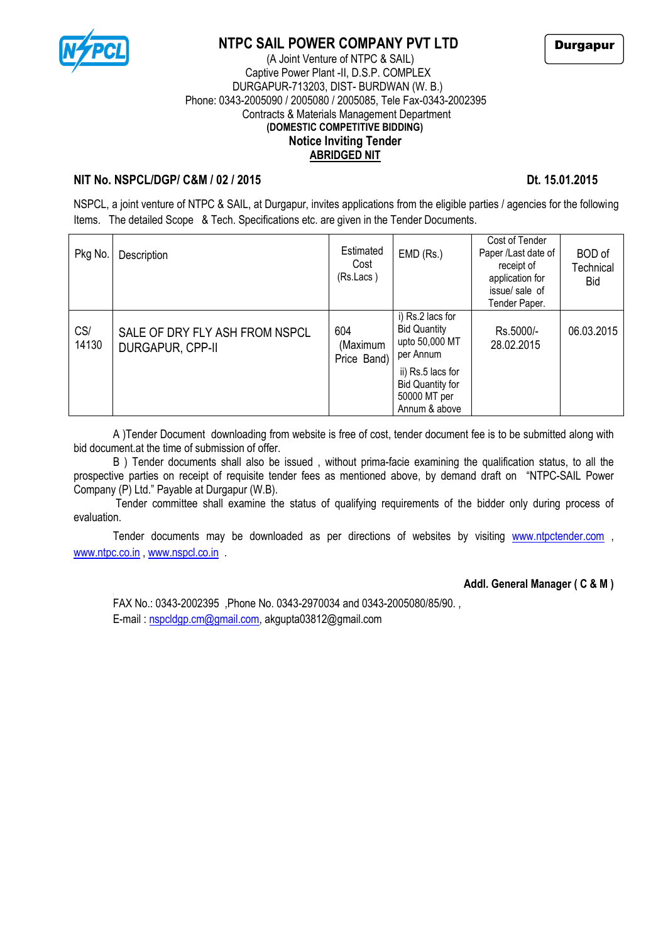

# **NTPC SAIL POWER COMPANY PVT LTD**



### (A Joint Venture of NTPC & SAIL) Captive Power Plant -II, D.S.P. COMPLEX DURGAPUR-713203, DIST- BURDWAN (W. B.) Phone: 0343-2005090 / 2005080 / 2005085, Tele Fax-0343-2002395 Contracts & Materials Management Department **(DOMESTIC COMPETITIVE BIDDING) Notice Inviting Tender ABRIDGED NIT**

### **NIT No. NSPCL/DGP/ C&M / 02 / 2015 Dt. 15.01.2015**

NSPCL, a joint venture of NTPC & SAIL, at Durgapur, invites applications from the eligible parties / agencies for the following Items. The detailed Scope & Tech. Specifications etc. are given in the Tender Documents.

| Pkg No.      | Description                                        | Estimated<br>Cost<br>(Rs.Lacs) | $EMD$ (Rs.)                                                                                                                                             | Cost of Tender<br>Paper /Last date of<br>receipt of<br>application for<br>issue/sale of<br>Tender Paper. | <b>BOD</b> of<br>Technical<br><b>Bid</b> |
|--------------|----------------------------------------------------|--------------------------------|---------------------------------------------------------------------------------------------------------------------------------------------------------|----------------------------------------------------------------------------------------------------------|------------------------------------------|
| CS/<br>14130 | SALE OF DRY FLY ASH FROM NSPCL<br>DURGAPUR, CPP-II | 604<br>(Maximum<br>Price Band) | i) Rs.2 lacs for<br><b>Bid Quantity</b><br>upto 50,000 MT<br>per Annum<br>ii) Rs.5 lacs for<br><b>Bid Quantity for</b><br>50000 MT per<br>Annum & above | Rs.5000/-<br>28.02.2015                                                                                  | 06.03.2015                               |

A )Tender Document downloading from website is free of cost, tender document fee is to be submitted along with bid document.at the time of submission of offer.

B ) Tender documents shall also be issued , without prima-facie examining the qualification status, to all the prospective parties on receipt of requisite tender fees as mentioned above, by demand draft on "NTPC-SAIL Power Company (P) Ltd." Payable at Durgapur (W.B).

Tender committee shall examine the status of qualifying requirements of the bidder only during process of evaluation.

Tender documents may be downloaded as per directions of websites by visiting [www.ntpctender.com](http://www.ntpctender.com/), [www.ntpc.co.in](http://www.ntpc.co.in/) [, www.nspcl.co.in](http://www.nspcl.co.in/) .

### **Addl. General Manager ( C & M )**

FAX No.: 0343-2002395 ,Phone No. 0343-2970034 and 0343-2005080/85/90. , E-mail [: nspcldgp.cm@gmail.com,](mailto:nspcldgp.cm@gmail.com) akgupta03812@gmail.com